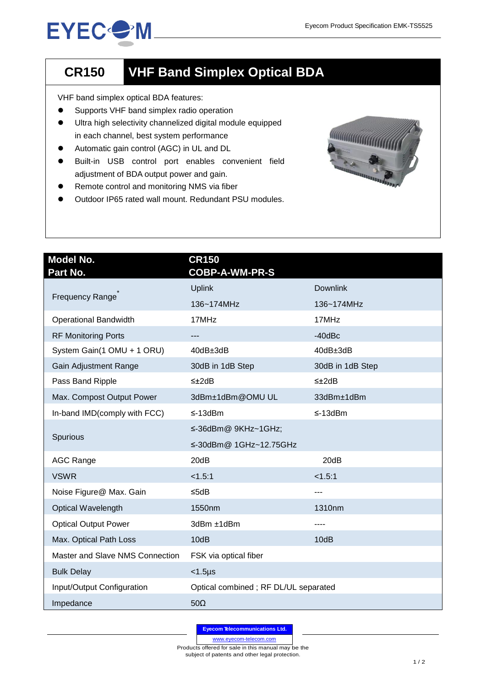## **EYEC<sup>O</sup>M**

## **CR150 VHF Band Simplex Optical BDA**

VHF band simplex optical BDA features:

- **•** Supports VHF band simplex radio operation
- Ultra high selectivity channelized digital module equipped in each channel, best system performance
- Automatic gain control (AGC) in UL and DL
- Built-in USB control port enables convenient field adjustment of BDA output power and gain.
- **•** Remote control and monitoring NMS via fiber
- Outdoor IP65 rated wall mount. Redundant PSU modules.



| <b>Model No.</b><br>Part No.    | <b>CR150</b><br><b>COBP-A-WM-PR-S</b> |                  |
|---------------------------------|---------------------------------------|------------------|
| Frequency Range                 | <b>Uplink</b>                         | <b>Downlink</b>  |
|                                 | 136~174MHz                            | 136~174MHz       |
| <b>Operational Bandwidth</b>    | 17MHz                                 | 17MHz            |
| <b>RF Monitoring Ports</b>      | ---                                   | $-40$ d $Bc$     |
| System Gain(1 OMU + 1 ORU)      | $40dB \pm 3dB$                        | 40dB±3dB         |
| Gain Adjustment Range           | 30dB in 1dB Step                      | 30dB in 1dB Step |
| Pass Band Ripple                | $\leq \pm 2dB$                        | $\leq \pm 2dB$   |
| Max. Compost Output Power       | 3dBm±1dBm@OMUUL                       | 33dBm±1dBm       |
| In-band IMD(comply with FCC)    | $\leq$ -13dBm                         | $\leq$ -13dBm    |
| Spurious                        | ≤-36dBm@ 9KHz~1GHz;                   |                  |
|                                 | ≤-30dBm@ 1GHz~12.75GHz                |                  |
| <b>AGC Range</b>                | 20dB                                  | 20dB             |
| <b>VSWR</b>                     | < 1.5:1                               | < 1.5:1          |
| Noise Figure@ Max. Gain         | ≤5dB                                  | ---              |
| Optical Wavelength              | 1550nm                                | 1310nm           |
| <b>Optical Output Power</b>     | 3dBm ±1dBm                            | ----             |
| Max. Optical Path Loss          | 10dB                                  | 10dB             |
| Master and Slave NMS Connection | FSK via optical fiber                 |                  |
| <b>Bulk Delay</b>               | $<$ 1.5 $\mu$ s                       |                  |
| Input/Output Configuration      | Optical combined; RF DL/UL separated  |                  |
| Impedance                       | $50\Omega$                            |                  |

**Eyecom Telecommunications Ltd.**

www.eyecom-telecom.com